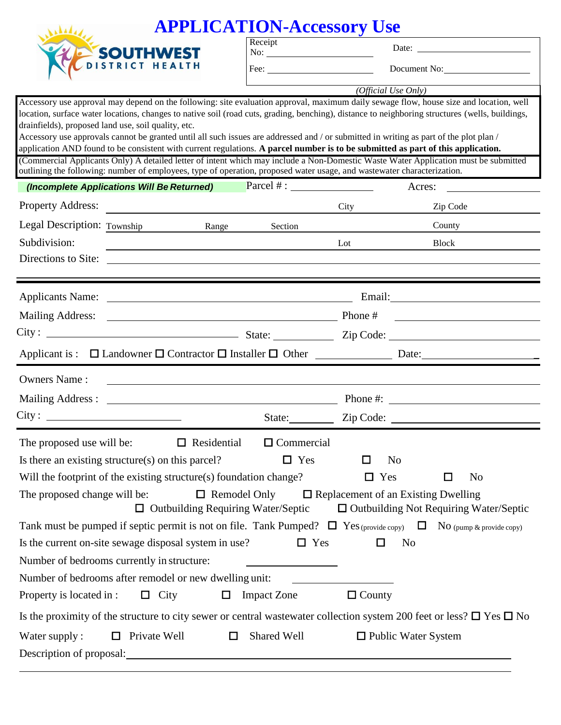| <b>APPLICATION-Accessory Use</b>                                                                                                                                                                                                                                                                                                                                                                                                                                                                                                                                                                                                                                                                                                                                                                                                                                                                 |                         |                                            |                                               |  |  |
|--------------------------------------------------------------------------------------------------------------------------------------------------------------------------------------------------------------------------------------------------------------------------------------------------------------------------------------------------------------------------------------------------------------------------------------------------------------------------------------------------------------------------------------------------------------------------------------------------------------------------------------------------------------------------------------------------------------------------------------------------------------------------------------------------------------------------------------------------------------------------------------------------|-------------------------|--------------------------------------------|-----------------------------------------------|--|--|
|                                                                                                                                                                                                                                                                                                                                                                                                                                                                                                                                                                                                                                                                                                                                                                                                                                                                                                  | Receipt                 |                                            |                                               |  |  |
| SOUTHWEST                                                                                                                                                                                                                                                                                                                                                                                                                                                                                                                                                                                                                                                                                                                                                                                                                                                                                        | Fee: $\qquad \qquad$    |                                            | Document No:                                  |  |  |
|                                                                                                                                                                                                                                                                                                                                                                                                                                                                                                                                                                                                                                                                                                                                                                                                                                                                                                  | (Official Use Only)     |                                            |                                               |  |  |
| Accessory use approval may depend on the following: site evaluation approval, maximum daily sewage flow, house size and location, well<br>location, surface water locations, changes to native soil (road cuts, grading, benching), distance to neighboring structures (wells, buildings,<br>drainfields), proposed land use, soil quality, etc.<br>Accessory use approvals cannot be granted until all such issues are addressed and / or submitted in writing as part of the plot plan /<br>application AND found to be consistent with current regulations. A parcel number is to be submitted as part of this application.<br>(Commercial Applicants Only) A detailed letter of intent which may include a Non-Domestic Waste Water Application must be submitted<br>outlining the following: number of employees, type of operation, proposed water usage, and wastewater characterization. |                         |                                            |                                               |  |  |
| (Incomplete Applications Will Be Returned)                                                                                                                                                                                                                                                                                                                                                                                                                                                                                                                                                                                                                                                                                                                                                                                                                                                       |                         |                                            | Acres:                                        |  |  |
| <b>Property Address:</b>                                                                                                                                                                                                                                                                                                                                                                                                                                                                                                                                                                                                                                                                                                                                                                                                                                                                         |                         | City                                       | Zip Code                                      |  |  |
| Legal Description: Township<br><b>Range</b>                                                                                                                                                                                                                                                                                                                                                                                                                                                                                                                                                                                                                                                                                                                                                                                                                                                      | Section                 |                                            | County                                        |  |  |
| Subdivision:                                                                                                                                                                                                                                                                                                                                                                                                                                                                                                                                                                                                                                                                                                                                                                                                                                                                                     |                         | Lot                                        | <b>Block</b>                                  |  |  |
| Directions to Site:<br><u> 1989 - Andrea Santa Andrea Andrea Santa Andrea Andrea Andrea Andrea Andrea Andrea Andrea Andrea Andrea Andre</u>                                                                                                                                                                                                                                                                                                                                                                                                                                                                                                                                                                                                                                                                                                                                                      |                         |                                            |                                               |  |  |
|                                                                                                                                                                                                                                                                                                                                                                                                                                                                                                                                                                                                                                                                                                                                                                                                                                                                                                  |                         |                                            |                                               |  |  |
| Phone #<br><b>Mailing Address:</b>                                                                                                                                                                                                                                                                                                                                                                                                                                                                                                                                                                                                                                                                                                                                                                                                                                                               |                         |                                            |                                               |  |  |
| $City:$ $2ip Code:$                                                                                                                                                                                                                                                                                                                                                                                                                                                                                                                                                                                                                                                                                                                                                                                                                                                                              |                         |                                            |                                               |  |  |
|                                                                                                                                                                                                                                                                                                                                                                                                                                                                                                                                                                                                                                                                                                                                                                                                                                                                                                  |                         |                                            |                                               |  |  |
| <b>Owners Name:</b><br><u> 1980 - Andrea Stadt Britain, fransk politik (d. 1980)</u>                                                                                                                                                                                                                                                                                                                                                                                                                                                                                                                                                                                                                                                                                                                                                                                                             |                         |                                            |                                               |  |  |
|                                                                                                                                                                                                                                                                                                                                                                                                                                                                                                                                                                                                                                                                                                                                                                                                                                                                                                  |                         |                                            | Phone $\#$ :                                  |  |  |
| City:                                                                                                                                                                                                                                                                                                                                                                                                                                                                                                                                                                                                                                                                                                                                                                                                                                                                                            |                         | State: <u>Zip Code:</u>                    |                                               |  |  |
| $\Box$ Residential<br>The proposed use will be:                                                                                                                                                                                                                                                                                                                                                                                                                                                                                                                                                                                                                                                                                                                                                                                                                                                  | $\Box$ Commercial       |                                            |                                               |  |  |
| Is there an existing structure(s) on this parcel?                                                                                                                                                                                                                                                                                                                                                                                                                                                                                                                                                                                                                                                                                                                                                                                                                                                | $\Box$ Yes              | N <sub>o</sub><br>ப                        |                                               |  |  |
| Will the footprint of the existing structure(s) foundation change?                                                                                                                                                                                                                                                                                                                                                                                                                                                                                                                                                                                                                                                                                                                                                                                                                               |                         | Yes<br>$\Box$                              | No<br>l 1                                     |  |  |
| The proposed change will be:                                                                                                                                                                                                                                                                                                                                                                                                                                                                                                                                                                                                                                                                                                                                                                                                                                                                     | $\Box$ Remodel Only     | $\Box$ Replacement of an Existing Dwelling |                                               |  |  |
| $\Box$ Outbuilding Requiring Water/Septic                                                                                                                                                                                                                                                                                                                                                                                                                                                                                                                                                                                                                                                                                                                                                                                                                                                        |                         |                                            | $\Box$ Outbuilding Not Requiring Water/Septic |  |  |
| Tank must be pumped if septic permit is not on file. Tank Pumped? $\Box$ Yes (provide copy) $\Box$ No (pump & provide copy)                                                                                                                                                                                                                                                                                                                                                                                                                                                                                                                                                                                                                                                                                                                                                                      |                         |                                            |                                               |  |  |
| Is the current on-site sewage disposal system in use?                                                                                                                                                                                                                                                                                                                                                                                                                                                                                                                                                                                                                                                                                                                                                                                                                                            | $\Box$ Yes              | $\Box$<br>N <sub>0</sub>                   |                                               |  |  |
| Number of bedrooms currently in structure:                                                                                                                                                                                                                                                                                                                                                                                                                                                                                                                                                                                                                                                                                                                                                                                                                                                       |                         |                                            |                                               |  |  |
| Number of bedrooms after remodel or new dwelling unit:                                                                                                                                                                                                                                                                                                                                                                                                                                                                                                                                                                                                                                                                                                                                                                                                                                           |                         | $\Box$ County                              |                                               |  |  |
| Property is located in :<br>$\Box$ City                                                                                                                                                                                                                                                                                                                                                                                                                                                                                                                                                                                                                                                                                                                                                                                                                                                          | <b>Impact Zone</b><br>□ |                                            |                                               |  |  |
| Is the proximity of the structure to city sewer or central wastewater collection system 200 feet or less? $\Box$ Yes $\Box$ No                                                                                                                                                                                                                                                                                                                                                                                                                                                                                                                                                                                                                                                                                                                                                                   |                         |                                            |                                               |  |  |
| Private Well<br>Water supply:<br>$\Box$                                                                                                                                                                                                                                                                                                                                                                                                                                                                                                                                                                                                                                                                                                                                                                                                                                                          | Shared Well<br>$\Box$   | $\Box$ Public Water System                 |                                               |  |  |
| Description of proposal:                                                                                                                                                                                                                                                                                                                                                                                                                                                                                                                                                                                                                                                                                                                                                                                                                                                                         |                         |                                            |                                               |  |  |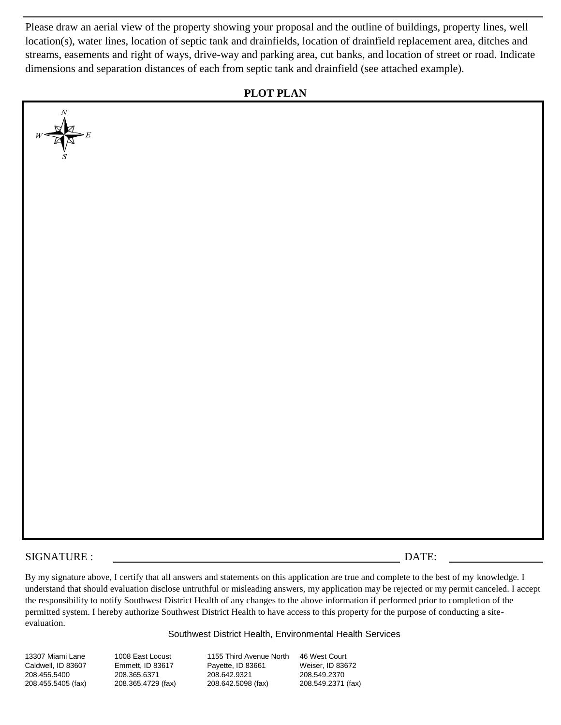Please draw an aerial view of the property showing your proposal and the outline of buildings, property lines, well location(s), water lines, location of septic tank and drainfields, location of drainfield replacement area, ditches and streams, easements and right of ways, drive-way and parking area, cut banks, and location of street or road. Indicate dimensions and separation distances of each from septic tank and drainfield (see attached example).

## **PLOT PLAN**



## SIGNATURE : DATE:

By my signature above, I certify that all answers and statements on this application are true and complete to the best of my knowledge. I understand that should evaluation disclose untruthful or misleading answers, my application may be rejected or my permit canceled. I accept the responsibility to notify Southwest District Health of any changes to the above information if performed prior to completion of the permitted system. I hereby authorize Southwest District Health to have access to this property for the purpose of conducting a siteevaluation.

Southwest District Health, Environmental Health Services

13307 Miami Lane Caldwell, ID 83607 208.455.5400 208.455.5405 (fax) 1008 East Locust Emmett, ID 83617 208.365.6371 208.365.4729 (fax)

1155 Third Avenue North Payette, ID 83661 208.642.9321 208.642.5098 (fax)

46 West Court Weiser, ID 83672 208.549.2370 208.549.2371 (fax)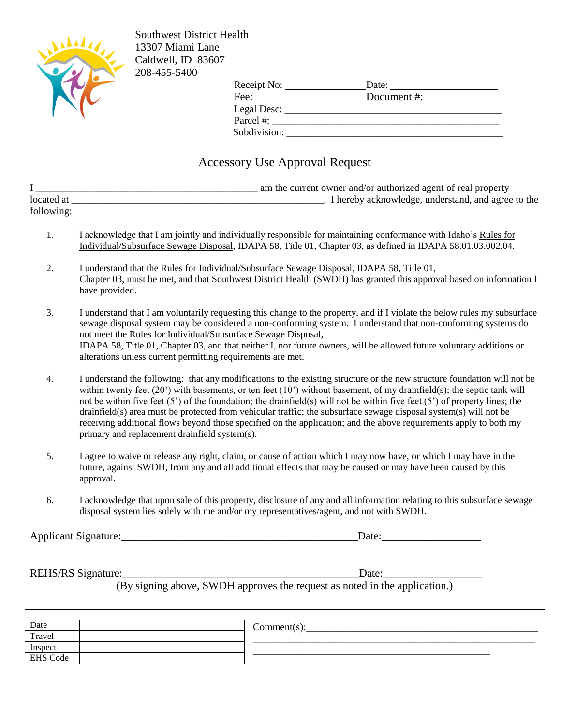

Southwest District Health 13307 Miami Lane Caldwell, ID 83607 208-455-5400

| Receipt No:  | Date:       |
|--------------|-------------|
| Fee:         | Document #: |
| Legal Desc:  |             |
| Parcel #:    |             |
| Subdivision: |             |

## Accessory Use Approval Request

|            | am the current owner and/or authorized agent of real property |
|------------|---------------------------------------------------------------|
| located at | . I hereby acknowledge, understand, and agree to the          |
| following: |                                                               |

- 1. I acknowledge that I am jointly and individually responsible for maintaining conformance with Idaho's Rules for Individual/Subsurface Sewage Disposal, IDAPA 58, Title 01, Chapter 03, as defined in IDAPA 58.01.03.002.04.
- 2. I understand that the Rules for Individual/Subsurface Sewage Disposal, IDAPA 58, Title 01, Chapter 03, must be met, and that Southwest District Health (SWDH) has granted this approval based on information I have provided.
- 3. I understand that I am voluntarily requesting this change to the property, and if I violate the below rules my subsurface sewage disposal system may be considered a non-conforming system. I understand that non-conforming systems do not meet the Rules for Individual/Subsurface Sewage Disposal, IDAPA 58, Title 01, Chapter 03, and that neither I, nor future owners, will be allowed future voluntary additions or alterations unless current permitting requirements are met.
- 4. I understand the following: that any modifications to the existing structure or the new structure foundation will not be within twenty feet  $(20')$  with basements, or ten feet  $(10')$  without basement, of my drainfield(s); the septic tank will not be within five feet (5') of the foundation; the drainfield(s) will not be within five feet (5') of property lines; the drainfield(s) area must be protected from vehicular traffic; the subsurface sewage disposal system(s) will not be receiving additional flows beyond those specified on the application; and the above requirements apply to both my primary and replacement drainfield system(s).
- 5. I agree to waive or release any right, claim, or cause of action which I may now have, or which I may have in the future, against SWDH, from any and all additional effects that may be caused or may have been caused by this approval.
- 6. I acknowledge that upon sale of this property, disclosure of any and all information relating to this subsurface sewage disposal system lies solely with me and/or my representatives/agent, and not with SWDH.

Applicant Signature:\_\_\_\_\_\_\_\_\_\_\_\_\_\_\_\_\_\_\_\_\_\_\_\_\_\_\_\_\_\_\_\_\_\_\_\_\_\_\_\_\_\_\_Date:\_\_\_\_\_\_\_\_\_\_\_\_\_\_\_\_\_\_

| <b>REHS/RS</b> Signature: |
|---------------------------|
|                           |

 $Date:$ (By signing above, SWDH approves the request as noted in the application.)

 $Comment(s):$ \_\_\_\_\_\_\_\_\_\_\_\_\_\_\_\_\_\_\_\_\_\_\_\_\_\_\_\_\_\_\_\_\_\_\_\_\_\_\_\_\_\_\_\_\_\_\_\_\_\_\_\_\_\_\_\_ \_\_\_\_\_\_\_\_\_\_\_\_\_\_\_\_\_\_\_\_\_\_\_\_\_\_\_\_\_\_\_\_\_\_\_\_\_\_\_\_\_\_\_\_\_\_\_ Date Travel Inspect EHS Code